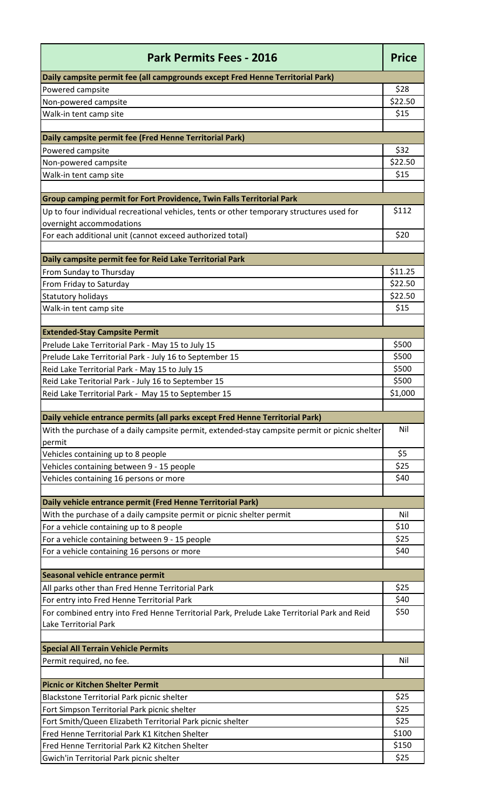| <b>Park Permits Fees - 2016</b>                                                                                      | <b>Price</b> |  |
|----------------------------------------------------------------------------------------------------------------------|--------------|--|
| Daily campsite permit fee (all campgrounds except Fred Henne Territorial Park)                                       |              |  |
| Powered campsite                                                                                                     | \$28         |  |
| Non-powered campsite                                                                                                 | \$22.50      |  |
| Walk-in tent camp site                                                                                               | \$15         |  |
|                                                                                                                      |              |  |
| Daily campsite permit fee (Fred Henne Territorial Park)                                                              |              |  |
| Powered campsite                                                                                                     | \$32         |  |
| Non-powered campsite                                                                                                 | \$22.50      |  |
| Walk-in tent camp site                                                                                               | \$15         |  |
| Group camping permit for Fort Providence, Twin Falls Territorial Park                                                |              |  |
| Up to four individual recreational vehicles, tents or other temporary structures used for                            | \$112        |  |
| overnight accommodations                                                                                             |              |  |
| For each additional unit (cannot exceed authorized total)                                                            | \$20         |  |
|                                                                                                                      |              |  |
| Daily campsite permit fee for Reid Lake Territorial Park                                                             |              |  |
| From Sunday to Thursday                                                                                              | \$11.25      |  |
| From Friday to Saturday                                                                                              | \$22.50      |  |
| Statutory holidays                                                                                                   | \$22.50      |  |
| Walk-in tent camp site                                                                                               | \$15         |  |
|                                                                                                                      |              |  |
| <b>Extended-Stay Campsite Permit</b>                                                                                 |              |  |
| Prelude Lake Territorial Park - May 15 to July 15                                                                    | \$500        |  |
| Prelude Lake Territorial Park - July 16 to September 15                                                              | \$500        |  |
| Reid Lake Territorial Park - May 15 to July 15                                                                       | \$500        |  |
| Reid Lake Teritorial Park - July 16 to September 15                                                                  | \$500        |  |
| Reid Lake Territorial Park - May 15 to September 15                                                                  | \$1,000      |  |
| Daily vehicle entrance permits (all parks except Fred Henne Territorial Park)                                        |              |  |
| With the purchase of a daily campsite permit, extended-stay campsite permit or picnic shelter                        | Nil          |  |
| permit                                                                                                               |              |  |
| Vehicles containing up to 8 people                                                                                   | \$5          |  |
| Vehicles containing between 9 - 15 people                                                                            | \$25         |  |
| Vehicles containing 16 persons or more                                                                               | \$40         |  |
|                                                                                                                      |              |  |
| Daily vehicle entrance permit (Fred Henne Territorial Park)                                                          |              |  |
| With the purchase of a daily campsite permit or picnic shelter permit                                                | Nil          |  |
| For a vehicle containing up to 8 people                                                                              | \$10         |  |
| For a vehicle containing between 9 - 15 people                                                                       | \$25         |  |
| For a vehicle containing 16 persons or more                                                                          | \$40         |  |
|                                                                                                                      |              |  |
| Seasonal vehicle entrance permit                                                                                     | \$25         |  |
| All parks other than Fred Henne Territorial Park                                                                     | \$40         |  |
| For entry into Fred Henne Territorial Park                                                                           | \$50         |  |
| For combined entry into Fred Henne Territorial Park, Prelude Lake Territorial Park and Reid<br>Lake Territorial Park |              |  |
|                                                                                                                      |              |  |
| <b>Special All Terrain Vehicle Permits</b>                                                                           |              |  |
| Permit required, no fee.                                                                                             | Nil          |  |
|                                                                                                                      |              |  |
| Picnic or Kitchen Shelter Permit                                                                                     |              |  |
| Blackstone Territorial Park picnic shelter                                                                           | \$25         |  |
| Fort Simpson Territorial Park picnic shelter                                                                         | \$25         |  |
| Fort Smith/Queen Elizabeth Territorial Park picnic shelter                                                           | \$25         |  |
| Fred Henne Territorial Park K1 Kitchen Shelter                                                                       | \$100        |  |
| Fred Henne Territorial Park K2 Kitchen Shelter                                                                       | \$150        |  |
| Gwich'in Territorial Park picnic shelter                                                                             | \$25         |  |